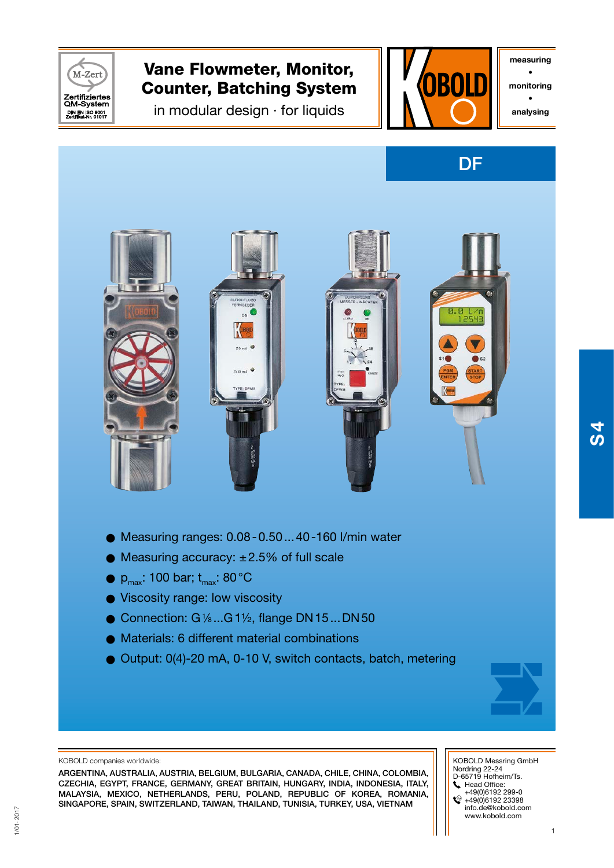

measuring • monitoring • analysing





- $\bullet$  Measuring ranges:  $0.08 0.50...40 160$  I/min water
- $\bullet$  Measuring accuracy:  $\pm 2.5\%$  of full scale
- $\bullet$  P<sub>max</sub>: 100 bar; t<sub>max</sub>: 80 °C
- Viscosity range: low viscosity
- $\bullet$  Connection: G $\frac{1}{6}$ ...G 1 $\frac{1}{2}$ , flange DN 15...DN 50
- O Materials: 6 different material combinations
- O Output: 0(4)-20 mA, 0-10 V, switch contacts, batch, metering



#### KOBOLD companies worldwide:

ARGENTINA, AUSTRALIA, AUSTRIA, BELGIUM, BULGARIA, CANADA, CHILE, CHINA, COLoMBIA, CZECHIA, EGYPT, FRANCE, GERMANY, GREAT BRITAIN, HUNGARY, INDIA, INDONESIA, ITALY, MALAYSIA, MEXICO, NETHERLANDS, PERU, POLAND, Republic of Korea, ROMANIA, SINGAPORE, SPAIN, SWITZERLAND, TAIWAN, THAILAND, TUNISIA, turkey, USA, VIETNAM

 KOBOLD Messring GmbH Nordring 22-24 D-65719 Hofheim/Ts. Head Office: +49(0)6192 299-0 +49(0)6192 23398 info.de@kobold.com www.kobold.com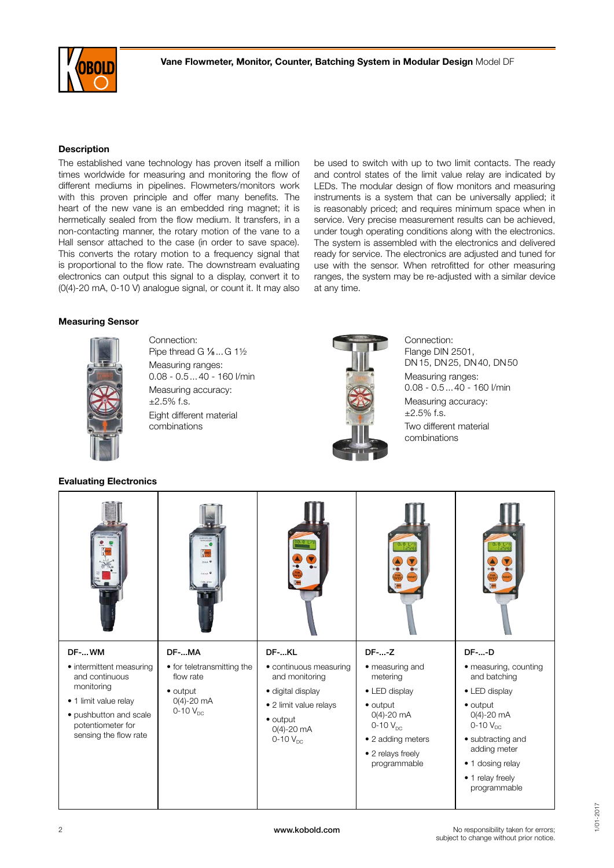

#### **Description**

The established vane technology has proven itself a million times worldwide for measuring and monitoring the flow of different mediums in pipelines. Flowmeters/monitors work with this proven principle and offer many benefits. The heart of the new vane is an embedded ring magnet; it is hermetically sealed from the flow medium. It transfers, in a non-contacting manner, the rotary motion of the vane to a Hall sensor attached to the case (in order to save space). This converts the rotary motion to a frequency signal that is proportional to the flow rate. The downstream evaluating electronics can output this signal to a display, convert it to (0(4)-20 mA, 0-10 V) analogue signal, or count it. It may also

#### Measuring Sensor



Connection: Pipe thread G 1/<sub>8</sub>...G 1<sup>1/2</sup> Measuring ranges: 0.08 - 0.5...40 - 160 l/min Measuring accuracy:  $±2.5\%$  f.s. Eight different material combinations



at any time.

Connection: Flange DIN 2501, DN15, DN25, DN40, DN50 Measuring ranges: 0.08 - 0.5...40 - 160 l/min Measuring accuracy:  $±2.5\%$  f.s. Two different material combinations

be used to switch with up to two limit contacts. The ready and control states of the limit value relay are indicated by LEDs. The modular design of flow monitors and measuring instruments is a system that can be universally applied; it is reasonably priced; and requires minimum space when in service. Very precise measurement results can be achieved, under tough operating conditions along with the electronics. The system is assembled with the electronics and delivered ready for service. The electronics are adjusted and tuned for use with the sensor. When retrofitted for other measuring ranges, the system may be re-adjusted with a similar device

#### Evaluating Electronics

|                                                                      | $_{max}$                                |                                          | 8.8 L                                               | 8.8 L                                 |
|----------------------------------------------------------------------|-----------------------------------------|------------------------------------------|-----------------------------------------------------|---------------------------------------|
| DF-WM                                                                | DF-MA                                   | DF-KL                                    | $DF$ -- $Z$                                         | <b>DF--D</b>                          |
| • intermittent measuring<br>and continuous                           | • for teletransmitting the<br>flow rate | · continuous measuring<br>and monitoring | • measuring and<br>metering                         | • measuring, counting<br>and batching |
| monitoring                                                           | $\bullet$ output                        | · digital display                        | • LED display                                       | • LED display                         |
| • 1 limit value relay                                                | $0(4) - 20$ mA<br>$0-10$ $V_{DC}$       | • 2 limit value relays                   | $\bullet$ output<br>$O(4) - 20$ mA<br>0-10 $V_{DC}$ | $\bullet$ output                      |
| · pushbutton and scale<br>potentiometer for<br>sensing the flow rate |                                         | $\bullet$ output<br>$O(4) - 20$ mA       |                                                     | $0(4) - 20$ mA<br>$0-10$ $V_{DC}$     |
|                                                                      |                                         | $0-10$ $V_{DC}$                          | • 2 adding meters                                   | • subtracting and<br>adding meter     |
|                                                                      |                                         |                                          | • 2 relays freely<br>programmable                   | • 1 dosing relay                      |
|                                                                      |                                         |                                          |                                                     | • 1 relay freely<br>programmable      |

1/01-2017

1/01-2017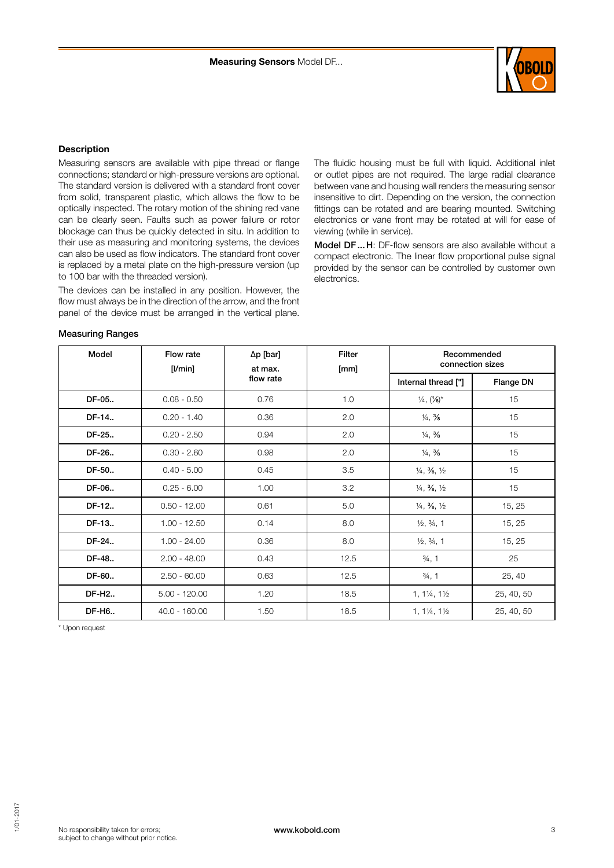

#### **Description**

Measuring sensors are available with pipe thread or flange connections; standard or high-pressure versions are optional. The standard version is delivered with a standard front cover from solid, transparent plastic, which allows the flow to be optically inspected. The rotary motion of the shining red vane can be clearly seen. Faults such as power failure or rotor blockage can thus be quickly detected in situ. In addition to their use as measuring and monitoring systems, the devices can also be used as flow indicators. The standard front cover is replaced by a metal plate on the high-pressure version (up to 100 bar with the threaded version).

The devices can be installed in any position. However, the flow must always be in the direction of the arrow, and the front panel of the device must be arranged in the vertical plane.

The fluidic housing must be full with liquid. Additional inlet or outlet pipes are not required. The large radial clearance between vane and housing wall renders the measuring sensor insensitive to dirt. Depending on the version, the connection fittings can be rotated and are bearing mounted. Switching electronics or vane front may be rotated at will for ease of viewing (while in service).

Model DF...H: DF-flow sensors are also available without a compact electronic. The linear flow proportional pulse signal provided by the sensor can be controlled by customer own electronics.

#### Measuring Ranges

| Model  | Flow rate<br>$[$ I/min $]$ | $\Delta p$ [bar]<br>at max. | <b>Filter</b><br>[mm] | Recommended<br>connection sizes               |            |
|--------|----------------------------|-----------------------------|-----------------------|-----------------------------------------------|------------|
|        |                            | flow rate                   |                       | Internal thread ["]                           | Flange DN  |
| DF-05  | $0.08 - 0.50$              | 0.76                        | 1.0                   | $\frac{1}{4}$ , $\frac{1}{8}$                 | 15         |
| DF-14  | $0.20 - 1.40$              | 0.36                        | 2.0                   | $\frac{1}{4}$ , $\frac{3}{8}$                 | 15         |
| DF-25  | $0.20 - 2.50$              | 0.94                        | 2.0                   | $\frac{1}{4}$ , $\frac{3}{8}$                 | 15         |
| DF-26  | $0.30 - 2.60$              | 0.98                        | 2.0                   | $\frac{1}{4}$ , $\frac{3}{8}$                 | 15         |
| DF-50  | $0.40 - 5.00$              | 0.45                        | 3.5                   | $\frac{1}{4}$ , $\frac{3}{8}$ , $\frac{1}{2}$ | 15         |
| DF-06  | $0.25 - 6.00$              | 1.00                        | 3.2                   | $\frac{1}{4}$ , $\frac{3}{8}$ , $\frac{1}{2}$ | 15         |
| DF-12  | $0.50 - 12.00$             | 0.61                        | 5.0                   | $\frac{1}{4}$ , $\frac{3}{8}$ , $\frac{1}{2}$ | 15, 25     |
| DF-13  | $1.00 - 12.50$             | 0.14                        | 8.0                   | $\frac{1}{2}$ , $\frac{3}{4}$ , 1             | 15, 25     |
| DF-24  | $1.00 - 24.00$             | 0.36                        | 8.0                   | $\frac{1}{2}$ , $\frac{3}{4}$ , 1             | 15, 25     |
| DF-48  | $2.00 - 48.00$             | 0.43                        | 12.5                  | $\frac{3}{4}$ , 1                             | 25         |
| DF-60. | $2.50 - 60.00$             | 0.63                        | 12.5                  | $\frac{3}{4}$ , 1                             | 25, 40     |
| DF-H2  | $5.00 - 120.00$            | 1.20                        | 18.5                  | $1, 1\frac{1}{4}, 1\frac{1}{2}$               | 25, 40, 50 |
| DF-H6  | $40.0 - 160.00$            | 1.50                        | 18.5                  | $1, 1\frac{1}{4}, 1\frac{1}{2}$               | 25, 40, 50 |

\* Upon request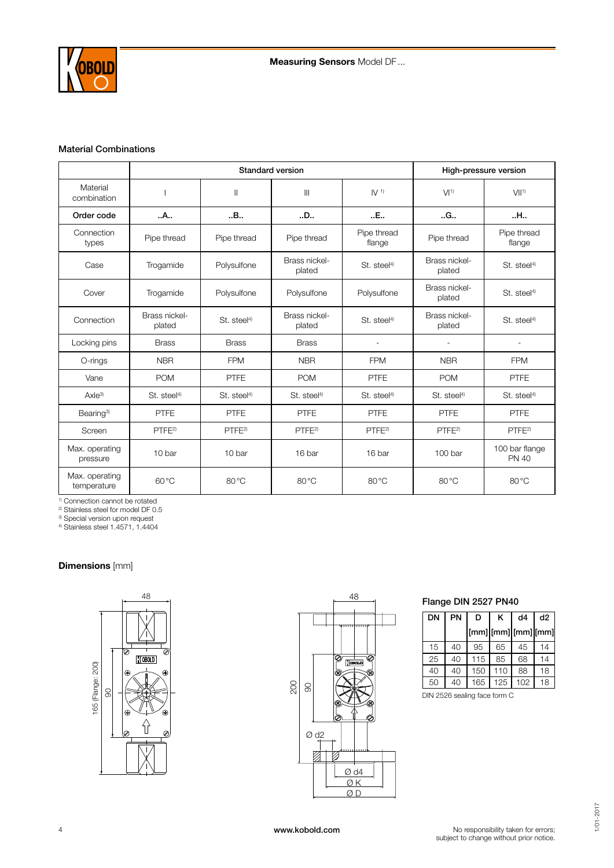

#### Material Combinations

|                               |                         | Standard version        |                         | High-pressure version   |                          |                                |
|-------------------------------|-------------------------|-------------------------|-------------------------|-------------------------|--------------------------|--------------------------------|
| Material<br>combination       |                         | $\mathbb{I}$            | $\mathbf{III}$          | IV <sup>1</sup>         | VI <sup>1</sup>          | V  1                           |
| Order code                    | A                       | .B.,                    | D                       | E                       | .G.,                     | .H.,                           |
| Connection<br>types           | Pipe thread             | Pipe thread             | Pipe thread             | Pipe thread<br>flange   | Pipe thread              | Pipe thread<br>flange          |
| Case                          | Trogamide               | Polysulfone             | Brass nickel-<br>plated | St. steel <sup>4)</sup> | Brass nickel-<br>plated  | St. steel <sup>4</sup>         |
| Cover                         | Trogamide               | Polysulfone             | Polysulfone             | Polysulfone             | Brass nickel-<br>plated  | St. steel <sup>4)</sup>        |
| Connection                    | Brass nickel-<br>plated | St. steel <sup>4)</sup> | Brass nickel-<br>plated | St. steel <sup>4)</sup> | Brass nickel-<br>plated  | St. steel <sup>4)</sup>        |
| Locking pins                  | <b>Brass</b>            | <b>Brass</b>            | <b>Brass</b>            | ٠                       | $\overline{\phantom{a}}$ | ٠                              |
| O-rings                       | <b>NBR</b>              | <b>FPM</b>              | <b>NBR</b>              | <b>FPM</b>              | <b>NBR</b>               | <b>FPM</b>                     |
| Vane                          | <b>POM</b>              | <b>PTFE</b>             | <b>POM</b>              | <b>PTFE</b>             | <b>POM</b>               | <b>PTFE</b>                    |
| Axle <sup>3</sup>             | St. steel <sup>4)</sup> | St. steel <sup>4)</sup> | St. steel <sup>4)</sup> | St. steel <sup>4)</sup> | St. steel <sup>4)</sup>  | St. steel <sup>4)</sup>        |
| Bearing <sup>3)</sup>         | <b>PTFE</b>             | <b>PTFE</b>             | PTFE                    | <b>PTFE</b>             | <b>PTFE</b>              | <b>PTFE</b>                    |
| Screen                        | PTFE <sup>2</sup>       | PTFE <sup>2</sup>       | PTFE <sup>2</sup>       | PTFE <sup>2</sup>       | PTFE <sup>2</sup>        | PTFE <sup>2</sup>              |
| Max. operating<br>pressure    | 10 bar                  | 10 bar                  | 16 bar                  | 16 bar                  | 100 bar                  | 100 bar flange<br><b>PN 40</b> |
| Max. operating<br>temperature | $60^{\circ}$ C          | $80^{\circ}$ C          | $80^{\circ}$ C          | $80^{\circ}$ C          | $80^{\circ}$ C           | $80^{\circ}$ C                 |

1) Connection cannot be rotated

2) Stainless steel for model DF 0.5

3) Special version upon request 4) Stainless steel 1.4571, 1.4404

# **Dimensions** [mm]





#### Flange DIN 2527 PN40

| DN | PN | D                   | κ                             | d4  | d2 |
|----|----|---------------------|-------------------------------|-----|----|
|    |    | [mm] [mm] [mm] [mm] |                               |     |    |
| 15 | 40 | 95                  | 65                            | 45  | 14 |
| 25 | 40 | 115                 | 85                            | 68  | 14 |
| 40 | 40 | 150                 | 110                           | 88  | 18 |
| 50 | 40 | 165                 | 125                           | 102 | 18 |
|    |    |                     | DINI 2528 cooling food form C |     |    |

DIN 2526 sealing face form C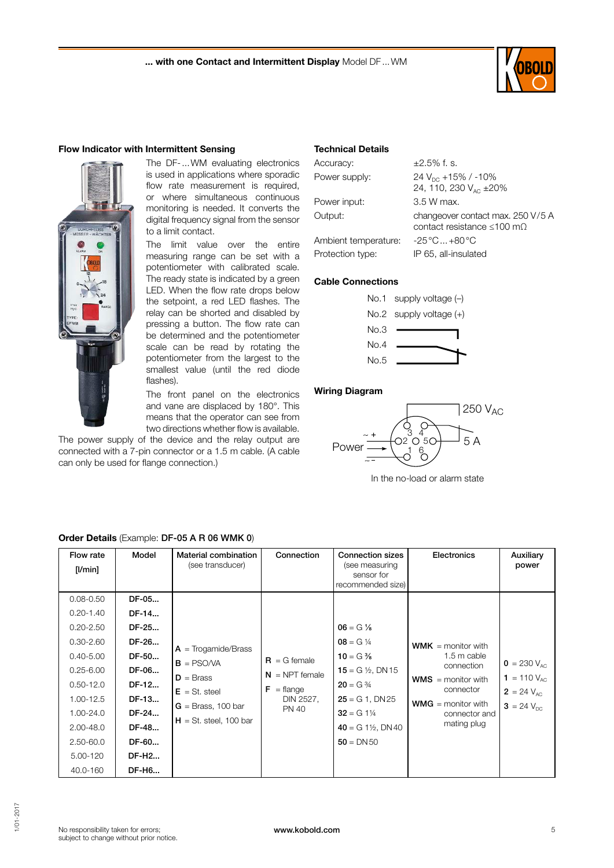

#### Flow Indicator with Intermittent Sensing



The DF-...WM evaluating electronics is used in applications where sporadic flow rate measurement is required, or where simultaneous continuous monitoring is needed. It converts the digital frequency signal from the sensor to a limit contact.

The limit value over the entire measuring range can be set with a potentiometer with calibrated scale. The ready state is indicated by a green LED. When the flow rate drops below the setpoint, a red LED flashes. The relay can be shorted and disabled by pressing a button. The flow rate can be determined and the potentiometer scale can be read by rotating the potentiometer from the largest to the smallest value (until the red diode flashes).

The front panel on the electronics and vane are displaced by 180°. This means that the operator can see from two directions whether flow is available.

The power supply of the device and the relay output are connected with a 7-pin connector or a 1.5 m cable. (A cable can only be used for flange connection.)

#### Technical Details

| Accuracy:            | $\pm 2.5\%$ f. s.                                                             |
|----------------------|-------------------------------------------------------------------------------|
| Power supply:        | 24 $V_{DC}$ +15% / -10%<br>24, 110, 230 V <sub>AC</sub> ± 20%                 |
| Power input:         | 3.5 W max.                                                                    |
| Output:              | changeover contact max. 250 V/5 A<br>contact resistance $\leq 100$ m $\Omega$ |
| Ambient temperature: | $-25^{\circ}$ C +80 $^{\circ}$ C                                              |
| Protection type:     | IP 65, all-insulated                                                          |

#### Cable Connections



#### Wiring Diagram



In the no-load or alarm state

| Flow rate<br>$[$ I/min $]$                                                                                                                                                                      | Model                                                                                                             | Material combination<br>(see transducer)                                                                                    | Connection                                                                             | <b>Connection sizes</b><br>(see measuring<br>sensor for<br>recommended size)                                                                                                               | Electronics                                                                                                                                              | Auxiliary<br>power                                                         |
|-------------------------------------------------------------------------------------------------------------------------------------------------------------------------------------------------|-------------------------------------------------------------------------------------------------------------------|-----------------------------------------------------------------------------------------------------------------------------|----------------------------------------------------------------------------------------|--------------------------------------------------------------------------------------------------------------------------------------------------------------------------------------------|----------------------------------------------------------------------------------------------------------------------------------------------------------|----------------------------------------------------------------------------|
| $0.08 - 0.50$<br>$0.20 - 1.40$<br>$0.20 - 2.50$<br>$0.30 - 2.60$<br>$0.40 - 5.00$<br>$0.25 - 6.00$<br>$0.50 - 12.0$<br>1.00-12.5<br>1.00-24.0<br>2.00-48.0<br>2.50-60.0<br>5.00-120<br>40.0-160 | DF-05<br>DF-14<br>DF-25<br>DF-26<br>DF-50<br>DF-06<br>DF-12<br>DF-13<br>DF-24<br>DF-48<br>DF-60<br>DF-H2<br>DF-H6 | $A = Trogamide/Brass$<br>$B = PSO/VA$<br>$D = Brass$<br>$E = St. steel$<br>$G =$ Brass, 100 bar<br>$H = St.$ steel, 100 bar | $R = G$ female<br>$N = NPT$ female<br>$F = \text{flange}$<br>DIN 2527,<br><b>PN 40</b> | $06 = G\%$<br>$08 = G\frac{1}{4}$<br>$10 = G\%$<br>15 = G $\frac{1}{2}$ , DN 15<br>$20 = G \frac{3}{4}$<br>$25 = G1$ , DN 25<br>$32 = G 1\%$<br>$40 = G1\frac{1}{2}$ , DN40<br>$50 = DN50$ | <b>WMK</b> = monitor with<br>1.5 m cable<br>connection<br>$WMS =$ monitor with<br>connector<br><b>WMG</b> = monitor with<br>connector and<br>mating plug | $0 = 230 V_{AC}$<br>1 = 110 $V_{AC}$<br>$2 = 24 V_{AC}$<br>$3 = 24 V_{nc}$ |

# Order Details (Example: DF-05 A R 06 WMK 0)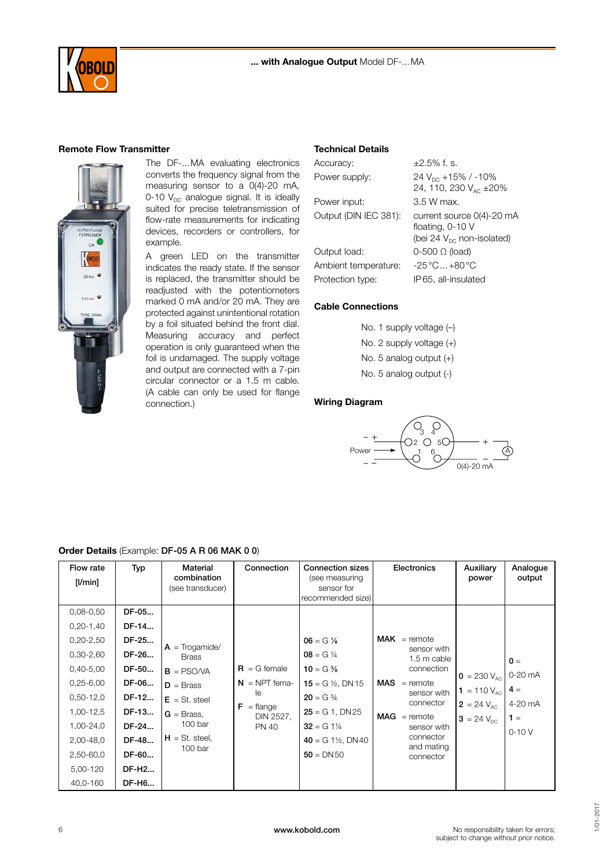

#### Remote Flow Transmitter



The DF-...MA evaluating electronics converts the frequency signal from the measuring sensor to a 0(4)-20 mA, 0-10  $V_{DC}$  analogue signal. It is ideally suited for precise teletransmission of flow-rate measurements for indicating devices, recorders or controllers, for example.

A green LED on the transmitter indicates the ready state. If the sensor is replaced, the transmitter should be readjusted with the potentiometers marked 0 mA and/or 20 mA. They are protected against unintentional rotation by a foil situated behind the front dial. Measuring accuracy and perfect operation is only guaranteed when the foil is undamaged. The supply voltage and output are connected with a 7-pin circular connector or a 1.5 m cable. (A cable can only be used for flange connection.)

#### Technical Details

| Accuracy:             | $\pm 2.5\%$ f. s.                               |
|-----------------------|-------------------------------------------------|
| Power supply:         | 24 $V_{\text{DC}}$ +15% / -10%                  |
|                       | 24, 110, 230 V <sub>AC</sub> ± 20%              |
| Power input:          | 3.5 W max.                                      |
| Output (DIN IEC 381): | current source 0(4)-20 mA                       |
|                       | floating, 0-10 V                                |
|                       | (bei 24 $V_{DC}$ non-isolated)                  |
| Output load:          | $0-500$ $\Omega$ (load)                         |
| Ambient temperature:  | $-25\,^{\circ}\text{C}$ $+80\,^{\circ}\text{C}$ |
| Protection type:      | IP65, all-insulated                             |

#### Cable Connections

No. 1 supply voltage (-) No. 2 supply voltage (+) No. 5 analog output (+) No. 5 analog output (-)

#### Wiring Diagram



#### Order Details (Example: DF-05 A R 06 MAK 0 0)

| Flow rate<br>[l/min]                                                                                                                                            | Typ                                                                                             | Material<br>combination<br>(see transducer)                                                                                                  | Connection                                                                              | <b>Connection sizes</b><br>(see measuring<br>sensor for<br>recommended size)                                                                                                                | Electronics                                                                                                                                                                                | Auxiliary<br>power                                                                | Analogue<br>output                                       |
|-----------------------------------------------------------------------------------------------------------------------------------------------------------------|-------------------------------------------------------------------------------------------------|----------------------------------------------------------------------------------------------------------------------------------------------|-----------------------------------------------------------------------------------------|---------------------------------------------------------------------------------------------------------------------------------------------------------------------------------------------|--------------------------------------------------------------------------------------------------------------------------------------------------------------------------------------------|-----------------------------------------------------------------------------------|----------------------------------------------------------|
| $0,08 - 0,50$<br>$0,20-1,40$<br>$0,20 - 2,50$<br>$0,30-2,60$<br>$0,40-5,00$<br>$0,25 - 6,00$<br>$0,50-12,0$<br>1,00-12,5<br>1,00-24,0<br>2,00-48,0<br>2,50-60,0 | DF-05<br>DF-14<br>DF-25<br>DF-26<br>DF-50<br>DF-06<br>DF-12<br>DF-13<br>DF-24<br>DF-48<br>DF-60 | $A = Troqamide/$<br><b>Brass</b><br>$B = PSO/VA$<br>$D = Brass$<br>$E = St. steel$<br>$G =$ Brass.<br>100 bar<br>$H = St. steel,$<br>100 bar | $R = G$ female<br>$N = NPT$ fema-<br>le<br>F<br>$=$ flange<br>DIN 2527,<br><b>PN 40</b> | $06 = G\%$<br>$08 = G \frac{1}{4}$<br>$10 = G\%$<br>15 = G $\frac{1}{2}$ , DN 15<br>$20 = G \frac{3}{4}$<br>$25 = G1$ , DN 25<br>$32 = G 1\%$<br>$40 = G1\frac{1}{2}$ , DN40<br>$50 = DN50$ | $\mathsf{MAK}$ = remote<br>sensor with<br>1.5 m cable<br>connection<br>$MAS$ = remote<br>sensor with<br>connector<br>$MAG =$ remote<br>sensor with<br>connector<br>and mating<br>connector | $0 = 230 V_{AC}$<br>1 = 110 $V_{AC}$<br>$2 = 24 V_{AC}$<br>$3 = 24 V_{\text{pc}}$ | $0 =$<br>0-20 mA<br>$4 =$<br>4-20 mA<br>$1 =$<br>$0-10V$ |
| 5,00-120<br>40,0-160                                                                                                                                            | DF-H <sub>2</sub><br>DF-H6                                                                      |                                                                                                                                              |                                                                                         |                                                                                                                                                                                             |                                                                                                                                                                                            |                                                                                   |                                                          |

No responsibility taken for errors; subject to change without prior notice.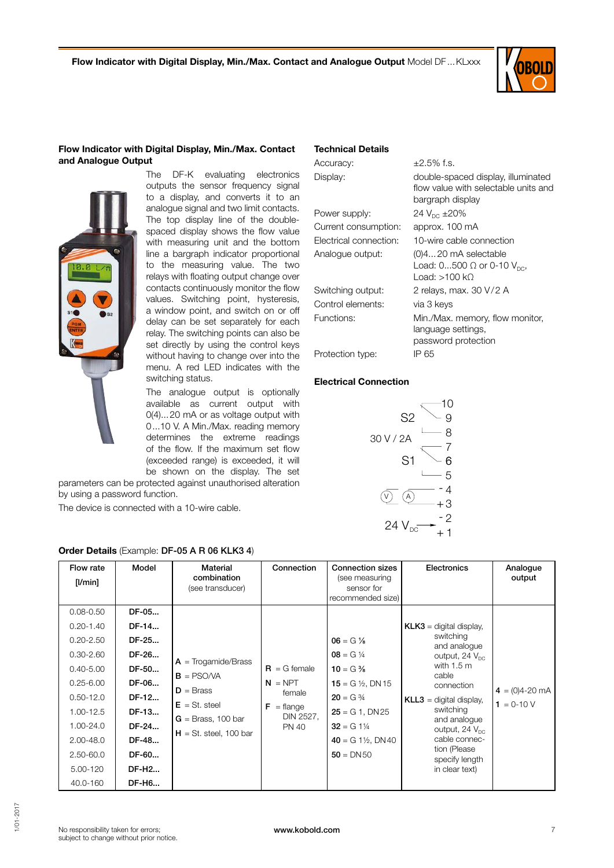Technical Details

Accuracy:  $\pm 2.5\%$  f.s.

Power supply:  $24 V_{DC} \pm 20\%$ Current consumption: approx. 100 mA

Control elements: via 3 keys

Protection type: IP 65

Electrical Connection

Electrical connection: 10-wire cable connection Analogue output: (0)4...20 mA selectable

Switching output: 2 relays, max. 30 V/2 A

Functions: Min./Max. memory, flow monitor,

Display: double-spaced display, illuminated

bargraph display

Load: >100 kΩ

language settings, password protection

flow value with selectable units and

Load:  $0...500 \Omega$  or 0-10  $V_{DC}$ ,



#### Flow Indicator with Digital Display, Min./Max. Contact and Analogue Output



The DF-K evaluating electronics outputs the sensor frequency signal to a display, and converts it to an analogue signal and two limit contacts. The top display line of the doublespaced display shows the flow value with measuring unit and the bottom line a bargraph indicator proportional to the measuring value. The two relays with floating output change over contacts continuously monitor the flow values. Switching point, hysteresis, a window point, and switch on or off delay can be set separately for each relay. The switching points can also be set directly by using the control keys without having to change over into the menu. A red LED indicates with the switching status.

The analogue output is optionally available as current output with 0(4)...20 mA or as voltage output with 0...10 V. A Min./Max. reading memory determines the extreme readings of the flow. If the maximum set flow (exceeded range) is exceeded, it will be shown on the display. The set

parameters can be protected against unauthorised alteration by using a password function.

The device is connected with a 10-wire cable.

| Flow rate<br>[1/min]                                                                                                                                                                                | Model                                                                                                                         | Material<br>combination<br>(see transducer)                                                                                 | Connection                                                                                         | <b>Connection sizes</b><br>(see measuring<br>sensor for<br>recommended size)                                                                                                                 | Electronics                                                                                                                                                                                                                                                                                      | Analogue<br>output                |
|-----------------------------------------------------------------------------------------------------------------------------------------------------------------------------------------------------|-------------------------------------------------------------------------------------------------------------------------------|-----------------------------------------------------------------------------------------------------------------------------|----------------------------------------------------------------------------------------------------|----------------------------------------------------------------------------------------------------------------------------------------------------------------------------------------------|--------------------------------------------------------------------------------------------------------------------------------------------------------------------------------------------------------------------------------------------------------------------------------------------------|-----------------------------------|
| $0.08 - 0.50$<br>$0.20 - 1.40$<br>$0.20 - 2.50$<br>$0.30 - 2.60$<br>$0.40 - 5.00$<br>$0.25 - 6.00$<br>$0.50 - 12.0$<br>1.00-12.5<br>1.00-24.0<br>$2.00 - 48.0$<br>2.50-60.0<br>5.00-120<br>40.0-160 | DF-05<br>DF-14<br>DF-25<br>DF-26<br>DF-50<br>DF-06<br>DF-12<br>DF-13<br>DF-24<br>DF-48<br>DF-60<br>DF-H <sub>2</sub><br>DF-H6 | $A = Troqamide/Brass$<br>$B = PSO/VA$<br>$D = Brass$<br>$E = St. steel$<br>$G =$ Brass, 100 bar<br>$H = St.$ steel, 100 bar | $\mathbf{R} = G$ female<br>$N = NPT$<br>female<br>$F = \text{flange}$<br>DIN 2527,<br><b>PN 40</b> | $06 = G\%$<br>$08 = G \frac{1}{4}$<br>$10 = G\%$<br>15 = G $\frac{1}{2}$ , DN 15<br>$20 = G \frac{3}{4}$<br>$25 = G1$ , DN 25<br>$32 = G1\%$<br>$40 = G 1\frac{1}{2}$ , DN 40<br>$50 = DN50$ | $KLK3$ = digital display.<br>switching<br>and analogue<br>output, $24 V_{\text{nc}}$<br>with $1.5 \text{ m}$<br>cable<br>connection<br>$KLL3$ = digital display,<br>switching<br>and analogue<br>output, 24 $V_{\text{nc}}$<br>cable connec-<br>tion (Please<br>specify length<br>in clear text) | $4 = (0)4 - 20$ mA<br>$1 = 0-10V$ |

#### Order Details (Example: DF-05 A R 06 KLK3 4)

# 1/01- 2017

- +

 $\widehat{A)}$  -+

8 7

 $\overline{Q}$ 10

S2

S1

24  $V_{DC}$ 

V

30V/2A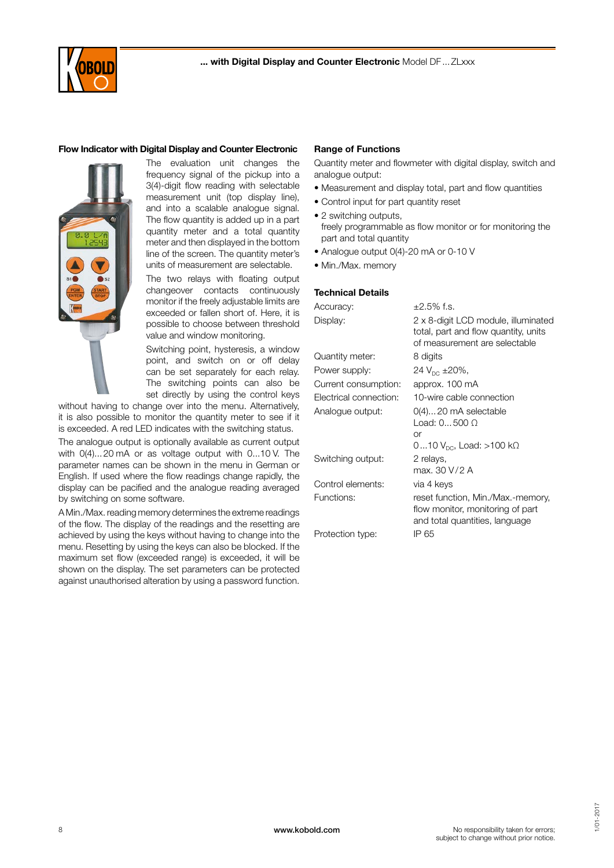

#### Flow Indicator with Digital Display and Counter Electronic



The evaluation unit changes the frequency signal of the pickup into a 3(4)-digit flow reading with selectable measurement unit (top display line), and into a scalable analogue signal. The flow quantity is added up in a part quantity meter and a total quantity meter and then displayed in the bottom line of the screen. The quantity meter's units of measurement are selectable.

The two relays with floating output changeover contacts continuously monitor if the freely adjustable limits are exceeded or fallen short of. Here, it is possible to choose between threshold value and window monitoring.

Switching point, hysteresis, a window point, and switch on or off delay can be set separately for each relay. The switching points can also be set directly by using the control keys

without having to change over into the menu. Alternatively, it is also possible to monitor the quantity meter to see if it is exceeded. A red LED indicates with the switching status.

The analogue output is optionally available as current output with 0(4)...20 mA or as voltage output with 0...10 V. The parameter names can be shown in the menu in German or English. If used where the flow readings change rapidly, the display can be pacified and the analogue reading averaged by switching on some software.

A Min./Max. reading memory determines the extreme readings of the flow. The display of the readings and the resetting are achieved by using the keys without having to change into the menu. Resetting by using the keys can also be blocked. If the maximum set flow (exceeded range) is exceeded, it will be shown on the display. The set parameters can be protected against unauthorised alteration by using a password function.

#### Range of Functions

Quantity meter and flowmeter with digital display, switch and analogue output:

- Measurement and display total, part and flow quantities
- Control input for part quantity reset
- 2 switching outputs, freely programmable as flow monitor or for monitoring the part and total quantity
- Analogue output 0(4)-20 mA or 0-10 V
- Min./Max. memory

#### Technical Details

| Accuracy:              | $\pm 2.5\%$ f.s.                                                                                             |
|------------------------|--------------------------------------------------------------------------------------------------------------|
| Display:               | 2 x 8-digit LCD module, illuminated<br>total, part and flow quantity, units<br>of measurement are selectable |
| Quantity meter:        | 8 digits                                                                                                     |
| Power supply:          | 24 $V_{DC}$ ±20%,                                                                                            |
| Current consumption:   | approx. 100 mA                                                                                               |
| Electrical connection: | 10-wire cable connection                                                                                     |
| Analogue output:       | 0(4)20 mA selectable<br>Load: 0500 O<br>or                                                                   |
|                        | 010 $V_{\text{DC}}$ , Load: >100 k $\Omega$                                                                  |
| Switching output:      | 2 relays,<br>max. 30 V/2 A                                                                                   |
| Control elements:      | via 4 keys                                                                                                   |
| Functions:             | reset function, Min./Max.-memory,<br>flow monitor, monitoring of part<br>and total quantities, language      |
| Protection type:       | IP 65                                                                                                        |

No responsibility taken for errors; subject to change without prior notice.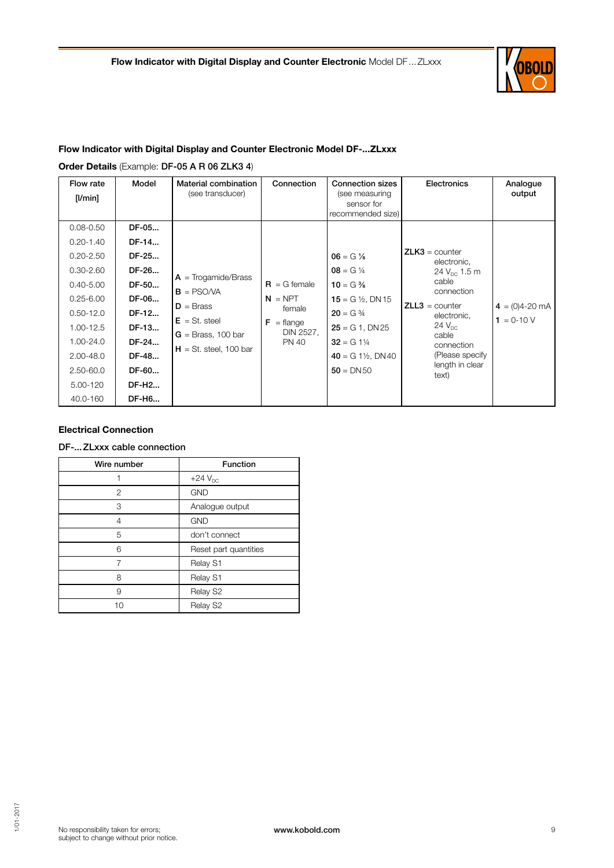

# Flow Indicator with Digital Display and Counter Electronic Model DF-...ZLxxx

Order Details (Example: DF-05 A R 06 ZLK3 4)

| Flow rate<br>$[$ I/min $]$                                                                                                                                                              | Model                                                                                                                | Material combination<br>(see transducer)                                                                                    | Connection                                                                                | <b>Connection sizes</b><br>(see measuring<br>sensor for<br>recommended size)                                                                                                                  | <b>Electronics</b>                                                                                                                                                                                                   | Analogue<br>output                |
|-----------------------------------------------------------------------------------------------------------------------------------------------------------------------------------------|----------------------------------------------------------------------------------------------------------------------|-----------------------------------------------------------------------------------------------------------------------------|-------------------------------------------------------------------------------------------|-----------------------------------------------------------------------------------------------------------------------------------------------------------------------------------------------|----------------------------------------------------------------------------------------------------------------------------------------------------------------------------------------------------------------------|-----------------------------------|
| $0.08 - 0.50$<br>$0.20 - 1.40$<br>$0.20 - 2.50$<br>$0.30 - 2.60$<br>$0.40 - 5.00$<br>$0.25 - 6.00$<br>$0.50 - 12.0$<br>1.00-12.5<br>1.00-24.0<br>$2.00 - 48.0$<br>2.50-60.0<br>5.00-120 | DF-05<br>DF-14<br>DF-25<br>DF-26<br>DF-50<br>DF-06<br>DF-12<br>DF-13<br>DF-24<br>DF-48<br>DF-60<br>DF-H <sub>2</sub> | $A = Trogamide/Brass$<br>$B = PSO/VA$<br>$D = Brass$<br>$E = St. steel$<br>$G =$ Brass, 100 bar<br>$H = St.$ steel, 100 bar | $R = G$ female<br>$N = NPT$<br>female<br>$F = \text{flange}$<br>DIN 2527,<br><b>PN 40</b> | $06 = G\%$<br>$08 = G \frac{1}{4}$<br>$10 = G\%$<br>15 = G $\frac{1}{2}$ , DN 15<br>$20 = G \frac{3}{4}$<br>$25 = G1$ , DN $25$<br>$32 = G 1\%$<br>$40 = G1\frac{1}{2}$ , DN40<br>$50 = DN50$ | $ZLK3 =$ counter<br>electronic,<br>24 $V_{\text{nc}}$ 1.5 m<br>cable<br>connection<br>$ZLL3 = counter$<br>electronic,<br>$24$ $V_{\text{nc}}$<br>cable<br>connection<br>(Please specify)<br>length in clear<br>text) | $4 = (0)4 - 20$ mA<br>$1 = 0-10V$ |
| 40.0-160                                                                                                                                                                                | DF-H6                                                                                                                |                                                                                                                             |                                                                                           |                                                                                                                                                                                               |                                                                                                                                                                                                                      |                                   |

### Electrical Connection

DF-...ZLxxx cable connection

| Wire number | <b>Function</b>       |
|-------------|-----------------------|
|             | $+24V_{DC}$           |
| 2           | <b>GND</b>            |
| 3           | Analogue output       |
| 4           | <b>GND</b>            |
| 5           | don't connect         |
| 6           | Reset part quantities |
|             | Relay S1              |
| 8           | Relay S1              |
| 9           | Relay S2              |
| 10          | Relay S2              |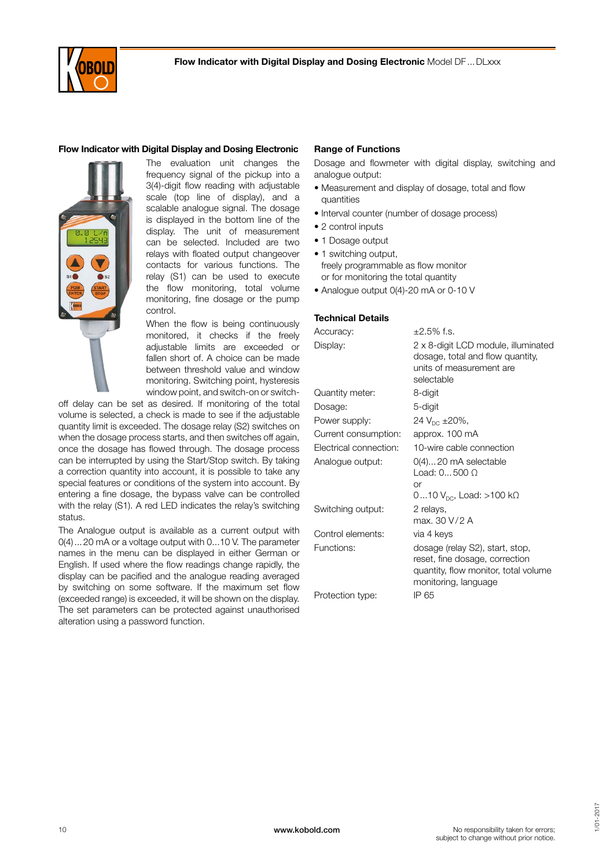

#### Flow Indicator with Digital Display and Dosing Electronic



The evaluation unit changes the frequency signal of the pickup into a 3(4)-digit flow reading with adjustable scale (top line of display), and a scalable analogue signal. The dosage is displayed in the bottom line of the display. The unit of measurement can be selected. Included are two relays with floated output changeover contacts for various functions. The relay (S1) can be used to execute the flow monitoring, total volume monitoring, fine dosage or the pump control.

When the flow is being continuously monitored, it checks if the freely adjustable limits are exceeded or fallen short of. A choice can be made between threshold value and window monitoring. Switching point, hysteresis window point, and switch-on or switch-

off delay can be set as desired. If monitoring of the total volume is selected, a check is made to see if the adjustable quantity limit is exceeded. The dosage relay (S2) switches on when the dosage process starts, and then switches off again, once the dosage has flowed through. The dosage process can be interrupted by using the Start/Stop switch. By taking a correction quantity into account, it is possible to take any special features or conditions of the system into account. By entering a fine dosage, the bypass valve can be controlled with the relay (S1). A red LED indicates the relay's switching status.

The Analogue output is available as a current output with 0(4)...20 mA or a voltage output with 0...10 V. The parameter names in the menu can be displayed in either German or English. If used where the flow readings change rapidly, the display can be pacified and the analogue reading averaged by switching on some software. If the maximum set flow (exceeded range) is exceeded, it will be shown on the display. The set parameters can be protected against unauthorised alteration using a password function.

#### Range of Functions

Dosage and flowmeter with digital display, switching and analogue output:

- Measurement and display of dosage, total and flow quantities
- Interval counter (number of dosage process)
- 2 control inputs
- 1 Dosage output
- 1 switching output, freely programmable as flow monitor or for monitoring the total quantity
- Analogue output 0(4)-20 mA or 0-10 V

#### Technical Details

| Accuracy:              | $\pm 2.5\%$ f.s.                                                                                                                  |
|------------------------|-----------------------------------------------------------------------------------------------------------------------------------|
| Display:               | 2 x 8-digit LCD module, illuminated<br>dosage, total and flow quantity,<br>units of measurement are<br>selectable                 |
| Quantity meter:        | 8-digit                                                                                                                           |
| Dosage:                | 5-digit                                                                                                                           |
| Power supply:          | 24 $V_{DC}$ ±20%,                                                                                                                 |
| Current consumption:   | approx. 100 mA                                                                                                                    |
| Electrical connection: | 10-wire cable connection                                                                                                          |
| Analogue output:       | $O(4)$ 20 mA selectable<br>Load: 0500 O<br>or<br>010 $V_{\text{nc}}$ , Load: >100 k $\Omega$                                      |
| Switching output:      | 2 relays,<br>max. 30 V/2 A                                                                                                        |
| Control elements:      | via 4 keys                                                                                                                        |
| Functions:             | dosage (relay S2), start, stop,<br>reset, fine dosage, correction<br>quantity, flow monitor, total volume<br>monitoring, language |
| Protection type:       | IP 65                                                                                                                             |
|                        |                                                                                                                                   |

No responsibility taken for errors; subject to change without prior notice.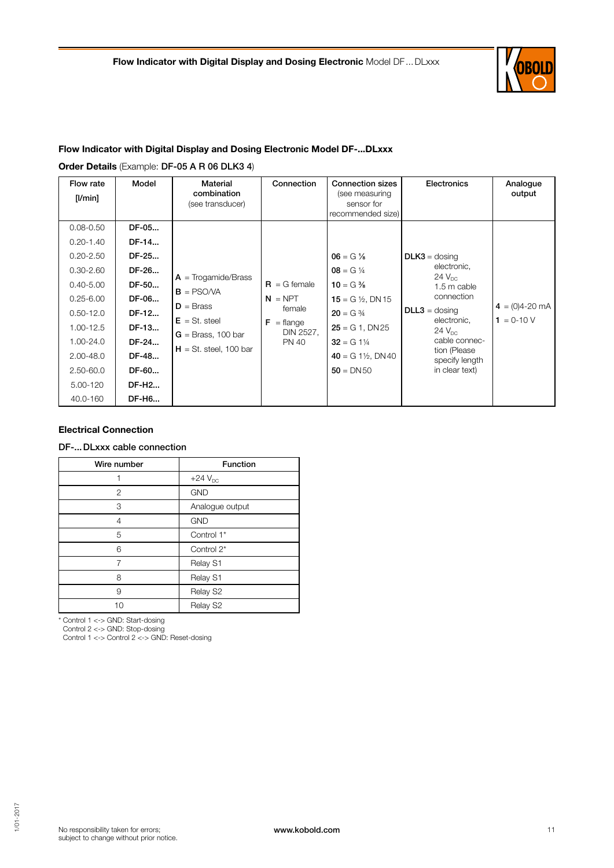

# Flow Indicator with Digital Display and Dosing Electronic Model DF-...DLxxx

Order Details (Example: DF-05 A R 06 DLK3 4)

| Flow rate<br>$[$ I/min $]$                                                                                                                                        | Model                                                                                                       | Material<br>combination<br>(see transducer)                                                                                 | Connection                                                                                | <b>Connection sizes</b><br>(see measuring<br>sensor for<br>recommended size)                                                                                                                  | <b>Electronics</b>                                                                                                                                                                                            | Analogue<br>output                |
|-------------------------------------------------------------------------------------------------------------------------------------------------------------------|-------------------------------------------------------------------------------------------------------------|-----------------------------------------------------------------------------------------------------------------------------|-------------------------------------------------------------------------------------------|-----------------------------------------------------------------------------------------------------------------------------------------------------------------------------------------------|---------------------------------------------------------------------------------------------------------------------------------------------------------------------------------------------------------------|-----------------------------------|
| $0.08 - 0.50$<br>$0.20 - 1.40$                                                                                                                                    | DF-05<br>DF-14                                                                                              |                                                                                                                             |                                                                                           |                                                                                                                                                                                               |                                                                                                                                                                                                               |                                   |
| $0.20 - 2.50$<br>$0.30 - 2.60$<br>$0.40 - 5.00$<br>$0.25 - 6.00$<br>$0.50 - 12.0$<br>1.00-12.5<br>1.00-24.0<br>$2.00 - 48.0$<br>2.50-60.0<br>5.00-120<br>40.0-160 | DF-25<br>DF-26<br>DF-50<br>DF-06<br>DF-12<br>DF-13<br>DF-24<br>DF-48<br>DF-60<br>DF-H <sub>2</sub><br>DF-H6 | $A = Trogamide/Brass$<br>$B = PSO/VA$<br>$D = Brass$<br>$E = St. steel$<br>$G =$ Brass, 100 bar<br>$H = St.$ steel, 100 bar | $R = G$ female<br>$N = NPT$<br>female<br>$F = \text{flange}$<br>DIN 2527,<br><b>PN 40</b> | $06 = G \%$<br>$08 = G \frac{1}{4}$<br>$10 = G\%$<br>15 = G $\frac{1}{2}$ , DN 15<br>$20 = G \frac{3}{4}$<br>$25 = G1$ , DN $25$<br>$32 = G1\%$<br>$40 = G1\frac{1}{2}$ , DN40<br>$50 = DN50$ | $DLK3 =$ dosing<br>electronic,<br>$24 V_{\text{nc}}$<br>1.5 m cable<br>connection<br>$DLL3 =$ dosing<br>electronic,<br>$24V_{\text{nc}}$<br>cable connec-<br>tion (Please<br>specify length<br>in clear text) | $4 = (0)4 - 20$ mA<br>$1 = 0-10V$ |

#### Electrical Connection

DF-...DLxxx cable connection

| Wire number    | <b>Function</b> |
|----------------|-----------------|
|                | $+24V_{DC}$     |
| $\overline{2}$ | <b>GND</b>      |
| 3              | Analogue output |
| 4              | <b>GND</b>      |
| 5              | Control 1*      |
| 6              | Control 2*      |
| 7              | Relay S1        |
| 8              | Relay S1        |
| 9              | Relay S2        |
| 10             | Relay S2        |

\* Control 1 <-> GND: Start-dosing

Control 2 <-> GND: Stop-dosing

Control 1 <-> Control 2 <-> GND: Reset-dosing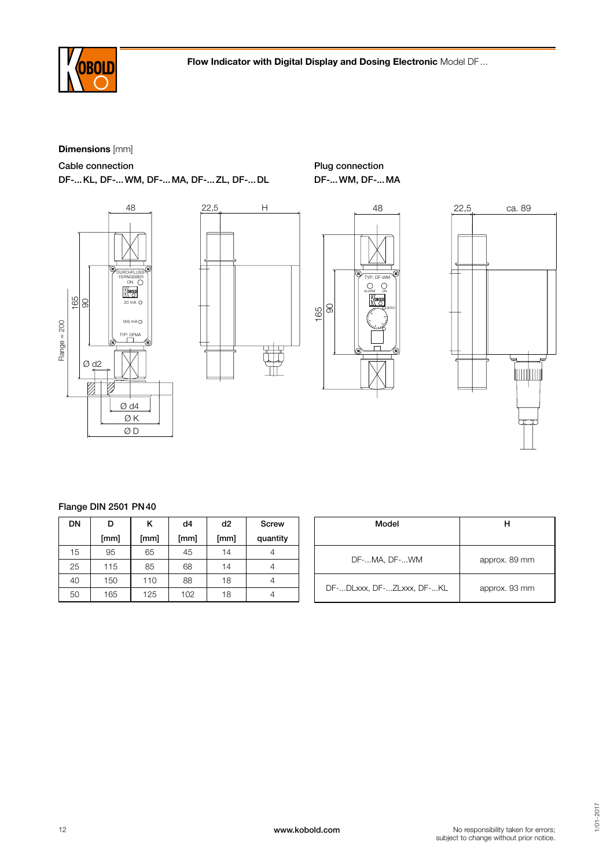

Plug connection

# Dimensions [mm]

Cable connection

DF-...KL, DF-...WM, DF-...MA, DF-...ZL, DF-...DL









# Flange DIN 2501 PN40

| DN | D    | κ    | d4   | d <sub>2</sub> | Screw    |
|----|------|------|------|----------------|----------|
|    | [mm] | [mm] | [mm] | [mm]           | quantity |
| 15 | 95   | 65   | 45   | 14             |          |
| 25 | 115  | 85   | 68   | 14             |          |
| 40 | 150  | 110  | 88   | 18             |          |
| 50 | 165  | 125  | 102  | 18             |          |

| Model                     | н             |
|---------------------------|---------------|
| DF-MA, DF-WM              | approx. 89 mm |
| DF-DLxxx, DF-ZLxxx, DF-KL | approx. 93 mm |